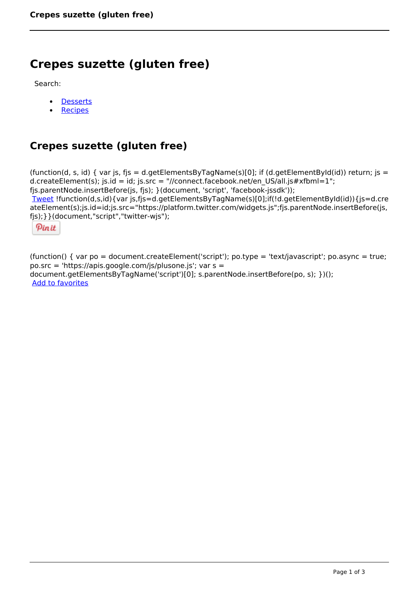# **Crepes suzette (gluten free)**

Search:

- **[Desserts](https://www.naturalhealthmag.com.au/nourish/desserts)**  $\bullet$
- **[Recipes](https://www.naturalhealthmag.com.au/nourish/recipes)**

# **Crepes suzette (gluten free)**

(function(d, s, id) { var js, fjs = d.getElementsByTagName(s)[0]; if (d.getElementById(id)) return; js = d.createElement(s); js.id = id; js.src = "//connect.facebook.net/en\_US/all.js#xfbml=1"; fjs.parentNode.insertBefore(js, fjs); }(document, 'script', 'facebook-jssdk')); [Tweet](https://twitter.com/share) !function(d,s,id){var js,fjs=d.getElementsByTagName(s)[0];if(!d.getElementById(id)){js=d.cre ateElement(s);js.id=id;js.src="https://platform.twitter.com/widgets.js";fjs.parentNode.insertBefore(js, fjs);}}(document,"script","twitter-wjs");

Pinit

(function() { var po = document.createElement('script'); po.type = 'text/javascript'; po.async = true; po.src = 'https://apis.google.com/js/plusone.js'; var s = document.getElementsByTagName('script')[0]; s.parentNode.insertBefore(po, s); })(); Add to favorites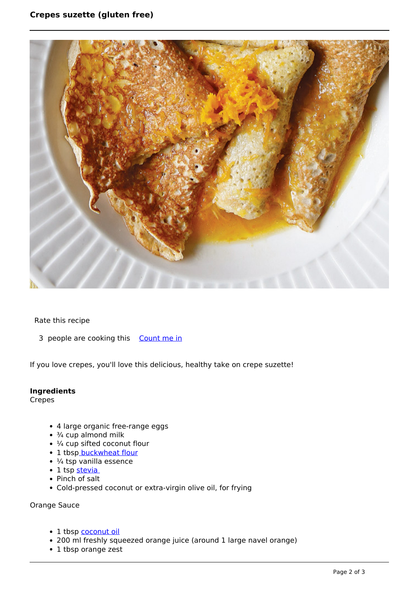

Rate this recipe

3 people are cooking this [Count me in](https://www.naturalhealthmag.com.au/flag/flag/favorites/1804?destination=printpdf%2F1804&token=89fa75036716e08f5cd8eb430e2e273f)

If you love crepes, you'll love this delicious, healthy take on crepe suzette!

## **Ingredients**

Crepes

- 4 large organic free-range eggs
- $\cdot$   $\frac{3}{4}$  cup almond milk
- $\cdot$   $\frac{1}{4}$  cup sifted coconut flour
- 1 tbs[p buckwheat flour](http://www.naturalhealthmag.com.au/nourish/rosemary-chocolate-hot-cross-buns-gluten-sugar-free)
- $\cdot$  ¼ tsp vanilla essence
- 1 tsp stevia
- Pinch of salt
- Cold-pressed coconut or extra-virgin olive oil, for frying

Orange Sauce

- 1 tbsp [coconut oil](http://www.naturalhealthmag.com.au/nourish/healthy-cooking-oils)
- 200 ml freshly squeezed orange juice (around 1 large navel orange)
- 1 tbsp orange zest